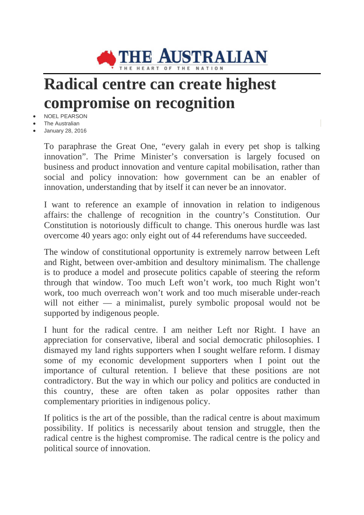

## **Radical centre can create highest compromise on recognition**

- NOEL PEARSON
- **The Australian**
- January 28, 2016

To paraphrase the Great One, "every galah in every pet shop is talking innovation". The Prime Minister's conversation is largely focused on business and product innovation and venture capital mobilisation, rather than social and policy innovation: how government can be an enabler of innovation, understanding that by itself it can never be an innovator.

I want to reference an example of innovation in relation to indigenous affairs: the challenge of recognition in the country's Constitution. Our Constitution is notoriously difficult to change. This onerous hurdle was last overcome 40 years ago: only eight out of 44 referendums have succeeded.

The window of constitutional opportunity is extremely narrow between Left and Right, between over-ambition and desultory minimalism. The challenge is to produce a model and prosecute politics capable of steering the reform through that window. Too much Left won't work, too much Right won't work, too much overreach won't work and too much miserable under-reach will not either — a minimalist, purely symbolic proposal would not be supported by indigenous people.

I hunt for the radical centre. I am neither Left nor Right. I have an appreciation for conservative, liberal and social democratic philosophies. I dismayed my land rights supporters when I sought welfare reform. I dismay some of my economic development supporters when I point out the importance of cultural retention. I believe that these positions are not contradictory. But the way in which our policy and politics are conducted in this country, these are often taken as polar opposites rather than complementary priorities in indigenous policy.

If politics is the art of the possible, than the radical centre is about maximum possibility. If politics is necessarily about tension and struggle, then the radical centre is the highest compromise. The radical centre is the policy and political source of innovation.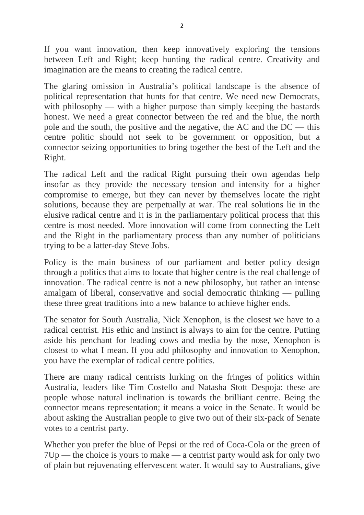If you want innovation, then keep innovatively exploring the tensions between Left and Right; keep hunting the radical centre. Creativity and imagination are the means to creating the radical centre.

The glaring omission in Australia's political landscape is the absence of political representation that hunts for that centre. We need new Democrats, with philosophy — with a higher purpose than simply keeping the bastards honest. We need a great connector between the red and the blue, the north pole and the south, the positive and the negative, the AC and the DC — this centre politic should not seek to be government or opposition, but a connector seizing opportunities to bring together the best of the Left and the Right.

The radical Left and the radical Right pursuing their own agendas help insofar as they provide the necessary tension and intensity for a higher compromise to emerge, but they can never by themselves locate the right solutions, because they are perpetually at war. The real solutions lie in the elusive radical centre and it is in the parliamentary political process that this centre is most needed. More innovation will come from connecting the Left and the Right in the parliamentary process than any number of politicians trying to be a latter-day Steve Jobs.

Policy is the main business of our parliament and better policy design through a politics that aims to locate that higher centre is the real challenge of innovation. The radical centre is not a new philosophy, but rather an intense amalgam of liberal, conservative and social democratic thinking — pulling these three great traditions into a new balance to achieve higher ends.

The senator for South Australia, Nick Xenophon, is the closest we have to a radical centrist. His ethic and instinct is always to aim for the centre. Putting aside his penchant for leading cows and media by the nose, Xenophon is closest to what I mean. If you add philosophy and innovation to Xenophon, you have the exemplar of radical centre politics.

There are many radical centrists lurking on the fringes of politics within Australia, leaders like Tim Costello and Natasha Stott Despoja: these are people whose natural inclination is towards the brilliant centre. Being the connector means representation; it means a voice in the Senate. It would be about asking the Australian people to give two out of their six-pack of Senate votes to a centrist party.

Whether you prefer the blue of Pepsi or the red of Coca-Cola or the green of 7Up — the choice is yours to make — a centrist party would ask for only two of plain but rejuvenating effervescent water. It would say to Australians, give